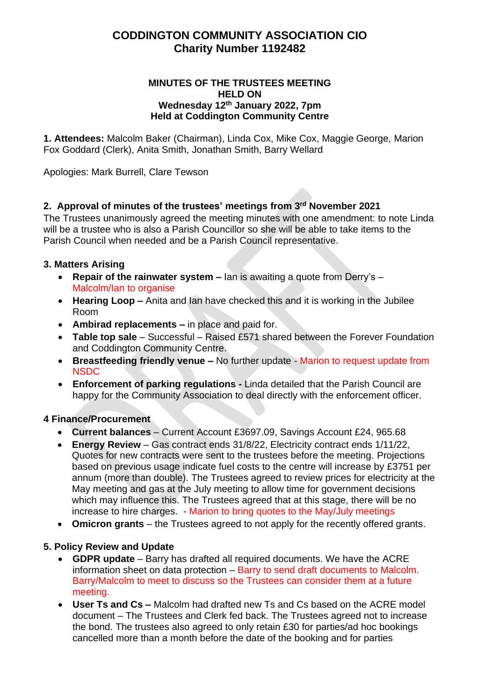# **CODDINGTON COMMUNITY ASSOCIATION CIO Charity Number 1192482**

#### **MINUTES OF THE TRUSTEES MEETING HELD ON Wednesday 12th January 2022, 7pm Held at Coddington Community Centre**

**1. Attendees:** Malcolm Baker (Chairman), Linda Cox, Mike Cox, Maggie George, Marion Fox Goddard (Clerk), Anita Smith, Jonathan Smith, Barry Wellard

Apologies: Mark Burrell, Clare Tewson

# **2. Approval of minutes of the trustees' meetings from 3 rd November 2021**

The Trustees unanimously agreed the meeting minutes with one amendment: to note Linda will be a trustee who is also a Parish Councillor so she will be able to take items to the Parish Council when needed and be a Parish Council representative.

### **3. Matters Arising**

- **Repair of the rainwater system –** Ian is awaiting a quote from Derry's Malcolm/Ian to organise
- **Hearing Loop –** Anita and Ian have checked this and it is working in the Jubilee Room
- **Ambirad replacements –** in place and paid for.
- **Table top sale** Successful Raised £571 shared between the Forever Foundation and Coddington Community Centre.
- **Breastfeeding friendly venue –** No further update Marion to request update from NSDC
- **Enforcement of parking regulations -** Linda detailed that the Parish Council are happy for the Community Association to deal directly with the enforcement officer.

# **4 Finance/Procurement**

- **Current balances** Current Account £3697.09, Savings Account £24, 965.68
- **Energy Review** Gas contract ends 31/8/22, Electricity contract ends 1/11/22, Quotes for new contracts were sent to the trustees before the meeting. Projections based on previous usage indicate fuel costs to the centre will increase by £3751 per annum (more than double). The Trustees agreed to review prices for electricity at the May meeting and gas at the July meeting to allow time for government decisions which may influence this. The Trustees agreed that at this stage, there will be no increase to hire charges. - Marion to bring quotes to the May/July meetings
- **Omicron grants** the Trustees agreed to not apply for the recently offered grants.

# **5. Policy Review and Update**

- **GDPR update** Barry has drafted all required documents. We have the ACRE information sheet on data protection – Barry to send draft documents to Malcolm. Barry/Malcolm to meet to discuss so the Trustees can consider them at a future meeting.
- **User Ts and Cs –** Malcolm had drafted new Ts and Cs based on the ACRE model document – The Trustees and Clerk fed back. The Trustees agreed not to increase the bond. The trustees also agreed to only retain £30 for parties/ad hoc bookings cancelled more than a month before the date of the booking and for parties